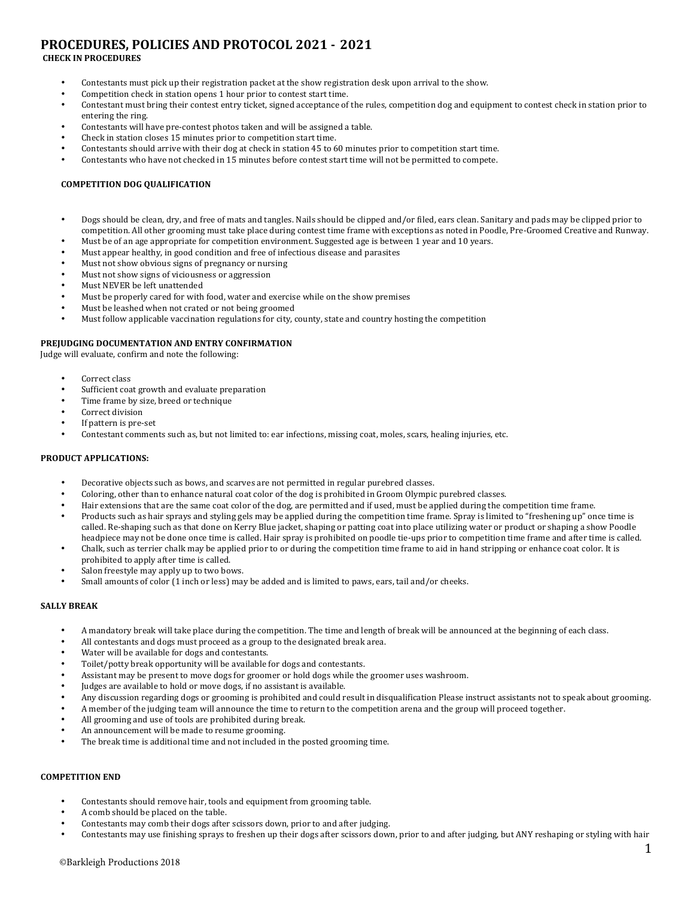# **PROCEDURES, POLICIES AND PROTOCOL 2021 - 2021**

# **CHECK IN PROCEDURES**

- Contestants must pick up their registration packet at the show registration desk upon arrival to the show.
- Competition check in station opens 1 hour prior to contest start time.
- Contestant must bring their contest entry ticket, signed acceptance of the rules, competition dog and equipment to contest check in station prior to entering the ring.
- Contestants will have pre-contest photos taken and will be assigned a table.
- Check in station closes 15 minutes prior to competition start time.
- Contestants should arrive with their dog at check in station 45 to 60 minutes prior to competition start time.
- Contestants who have not checked in 15 minutes before contest start time will not be permitted to compete.

# **COMPETITION DOG QUALIFICATION**

- Dogs should be clean, dry, and free of mats and tangles. Nails should be clipped and/or filed, ears clean. Sanitary and pads may be clipped prior to competition. All other grooming must take place during contest time frame with exceptions as noted in Poodle, Pre-Groomed Creative and Runway.
- Must be of an age appropriate for competition environment. Suggested age is between 1 year and 10 years.
- Must appear healthy, in good condition and free of infectious disease and parasites
- Must not show obvious signs of pregnancy or nursing
- Must not show signs of viciousness or aggression
- Must NEVER be left unattended
- Must be properly cared for with food, water and exercise while on the show premises
- Must be leashed when not crated or not being groomed
- Must follow applicable vaccination regulations for city, county, state and country hosting the competition

#### **PREJUDGING DOCUMENTATION AND ENTRY CONFIRMATION**

Judge will evaluate, confirm and note the following:

- Correct class
- Sufficient coat growth and evaluate preparation
- Time frame by size, breed or technique
- Correct division
- If pattern is pre-set
- Contestant comments such as, but not limited to: ear infections, missing coat, moles, scars, healing injuries, etc.

#### **PRODUCT APPLICATIONS:**

- Decorative objects such as bows, and scarves are not permitted in regular purebred classes.
- Coloring, other than to enhance natural coat color of the dog is prohibited in Groom Olympic purebred classes.
- Hair extensions that are the same coat color of the dog, are permitted and if used, must be applied during the competition time frame.
- Products such as hair sprays and styling gels may be applied during the competition time frame. Spray is limited to "freshening up" once time is called. Re-shaping such as that done on Kerry Blue jacket, shaping or patting coat into place utilizing water or product or shaping a show Poodle headpiece may not be done once time is called. Hair spray is prohibited on poodle tie-ups prior to competition time frame and after time is called.
- Chalk, such as terrier chalk may be applied prior to or during the competition time frame to aid in hand stripping or enhance coat color. It is prohibited to apply after time is called.
- Salon freestyle may apply up to two bows.
- Small amounts of color (1 inch or less) may be added and is limited to paws, ears, tail and/or cheeks.

#### **SALLY BREAK**

- A mandatory break will take place during the competition. The time and length of break will be announced at the beginning of each class.
- All contestants and dogs must proceed as a group to the designated break area.
- Water will be available for dogs and contestants.
- Toilet/potty break opportunity will be available for dogs and contestants.
- Assistant may be present to move dogs for groomer or hold dogs while the groomer uses washroom.
- Judges are available to hold or move dogs, if no assistant is available.
- Any discussion regarding dogs or grooming is prohibited and could result in disqualification Please instruct assistants not to speak about grooming.
- A member of the judging team will announce the time to return to the competition arena and the group will proceed together.
- All grooming and use of tools are prohibited during break.
- An announcement will be made to resume grooming.
- The break time is additional time and not included in the posted grooming time.

# **COMPETITION END**

- Contestants should remove hair, tools and equipment from grooming table.
- A comb should be placed on the table.
- Contestants may comb their dogs after scissors down, prior to and after judging.
- Contestants may use finishing sprays to freshen up their dogs after scissors down, prior to and after judging, but ANY reshaping or styling with hair